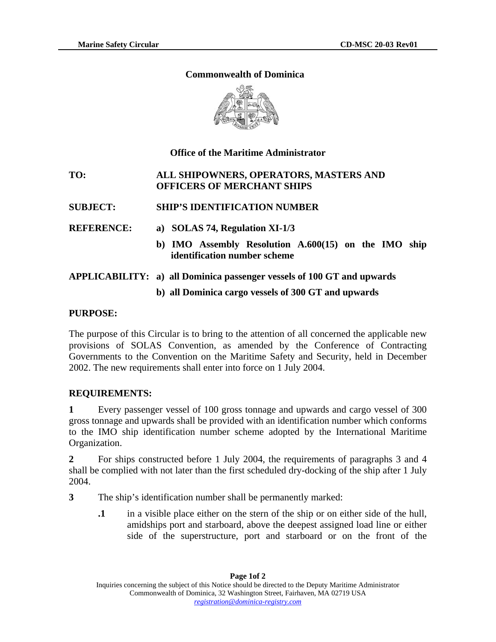# **Commonwealth of Dominica**



# **Office of the Maritime Administrator**

# **TO: ALL SHIPOWNERS, OPERATORS, MASTERS AND OFFICERS OF MERCHANT SHIPS**

- **SUBJECT: SHIP'S IDENTIFICATION NUMBER**
- **REFERENCE: a) SOLAS 74, Regulation XI-1/3** 
	- **b) IMO Assembly Resolution A.600(15) on the IMO ship identification number scheme**

# **APPLICABILITY: a) all Dominica passenger vessels of 100 GT and upwards**

# **b) all Dominica cargo vessels of 300 GT and upwards**

# **PURPOSE:**

The purpose of this Circular is to bring to the attention of all concerned the applicable new provisions of SOLAS Convention, as amended by the Conference of Contracting Governments to the Convention on the Maritime Safety and Security, held in December 2002. The new requirements shall enter into force on 1 July 2004.

# **REQUIREMENTS:**

**1** Every passenger vessel of 100 gross tonnage and upwards and cargo vessel of 300 gross tonnage and upwards shall be provided with an identification number which conforms to the IMO ship identification number scheme adopted by the International Maritime Organization.

**2** For ships constructed before 1 July 2004, the requirements of paragraphs 3 and 4 shall be complied with not later than the first scheduled dry-docking of the ship after 1 July 2004.

- **3** The ship's identification number shall be permanently marked:
	- **.1** in a visible place either on the stern of the ship or on either side of the hull, amidships port and starboard, above the deepest assigned load line or either side of the superstructure, port and starboard or on the front of the